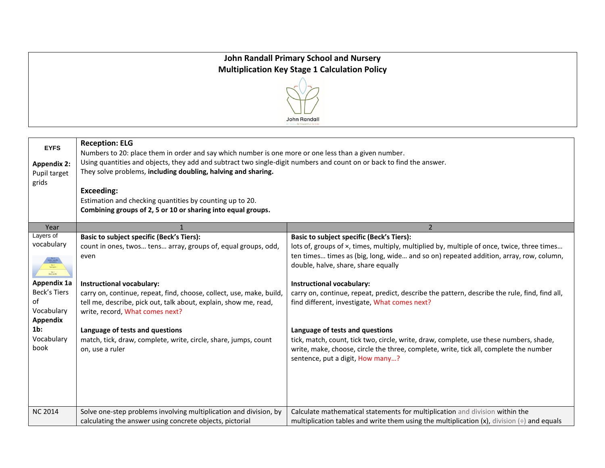## **John Randall Primary School and Nursery Multiplication Key Stage 1 Calculation Policy**



| <b>EYFS</b><br><b>Appendix 2:</b><br>Pupil target<br>grids | <b>Reception: ELG</b><br>Numbers to 20: place them in order and say which number is one more or one less than a given number.<br>Using quantities and objects, they add and subtract two single-digit numbers and count on or back to find the answer.<br>They solve problems, including doubling, halving and sharing.<br><b>Exceeding:</b><br>Estimation and checking quantities by counting up to 20.<br>Combining groups of 2, 5 or 10 or sharing into equal groups. |                                                                                                                                                                                                                                                                                                                    |
|------------------------------------------------------------|--------------------------------------------------------------------------------------------------------------------------------------------------------------------------------------------------------------------------------------------------------------------------------------------------------------------------------------------------------------------------------------------------------------------------------------------------------------------------|--------------------------------------------------------------------------------------------------------------------------------------------------------------------------------------------------------------------------------------------------------------------------------------------------------------------|
| Year                                                       |                                                                                                                                                                                                                                                                                                                                                                                                                                                                          | $\overline{2}$                                                                                                                                                                                                                                                                                                     |
| Layers of<br>vocabulary<br><b>Appendix 1a</b>              | <b>Basic to subject specific (Beck's Tiers):</b><br>count in ones, twos tens array, groups of, equal groups, odd,<br>even<br><b>Instructional vocabulary:</b>                                                                                                                                                                                                                                                                                                            | <b>Basic to subject specific (Beck's Tiers):</b><br>lots of, groups of x, times, multiply, multiplied by, multiple of once, twice, three times<br>ten times times as (big, long, wide and so on) repeated addition, array, row, column,<br>double, halve, share, share equally<br><b>Instructional vocabulary:</b> |
| <b>Beck's Tiers</b><br>of<br>Vocabulary<br>Appendix        | carry on, continue, repeat, find, choose, collect, use, make, build,<br>tell me, describe, pick out, talk about, explain, show me, read,<br>write, record, What comes next?                                                                                                                                                                                                                                                                                              | carry on, continue, repeat, predict, describe the pattern, describe the rule, find, find all,<br>find different, investigate, What comes next?                                                                                                                                                                     |
| $1b$ :<br>Vocabulary<br>book                               | Language of tests and questions<br>match, tick, draw, complete, write, circle, share, jumps, count<br>on, use a ruler                                                                                                                                                                                                                                                                                                                                                    | Language of tests and questions<br>tick, match, count, tick two, circle, write, draw, complete, use these numbers, shade,<br>write, make, choose, circle the three, complete, write, tick all, complete the number<br>sentence, put a digit, How many?                                                             |
| <b>NC 2014</b>                                             | Solve one-step problems involving multiplication and division, by<br>calculating the answer using concrete objects, pictorial                                                                                                                                                                                                                                                                                                                                            | Calculate mathematical statements for multiplication and division within the<br>multiplication tables and write them using the multiplication $(x)$ , division $\left(\div\right)$ and equals                                                                                                                      |